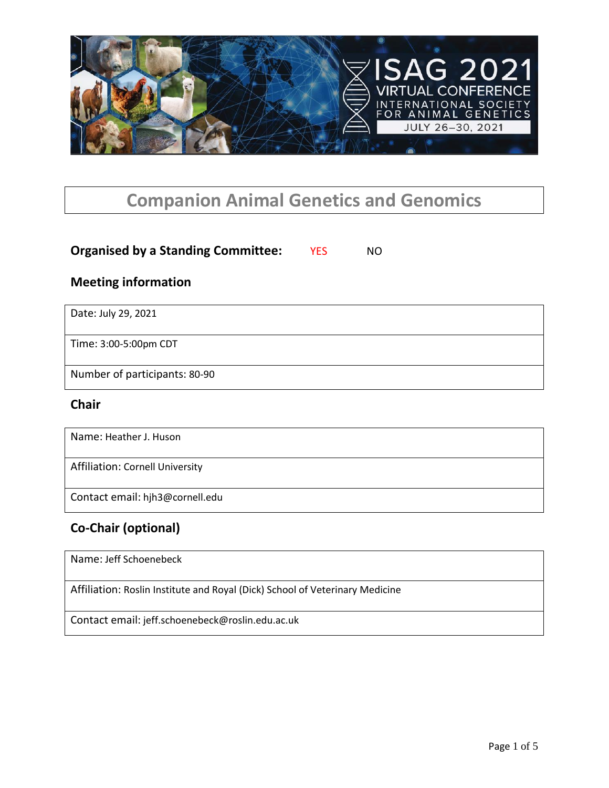

# **Companion Animal Genetics and Genomics**

## **Organised by a Standing Committee:** YES NO

### **Meeting information**

Date: July 29, 2021

Time: 3:00-5:00pm CDT

Number of participants: 80-90

#### **Chair**

Name: Heather J. Huson

Affiliation: Cornell University

Contact email: hjh3@cornell.edu

## **Co-Chair (optional)**

Name: Jeff Schoenebeck

Affiliation: Roslin Institute and Royal (Dick) School of Veterinary Medicine

Contact email: jeff.schoenebeck@roslin.edu.ac.uk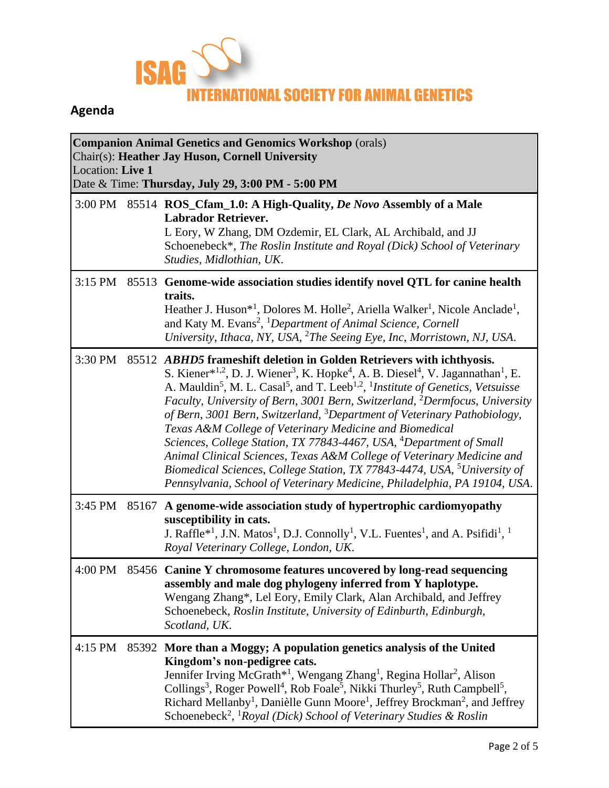

# **Agenda**

| <b>Companion Animal Genetics and Genomics Workshop (orals)</b><br>Chair(s): Heather Jay Huson, Cornell University<br>Location: Live 1<br>Date & Time: Thursday, July 29, 3:00 PM - 5:00 PM |       |                                                                                                                                                                                                                                                                                                                                                                                                                                                                                                                                                                                                                                                                                                                                                                                                                                                                                                                                                 |  |  |  |  |
|--------------------------------------------------------------------------------------------------------------------------------------------------------------------------------------------|-------|-------------------------------------------------------------------------------------------------------------------------------------------------------------------------------------------------------------------------------------------------------------------------------------------------------------------------------------------------------------------------------------------------------------------------------------------------------------------------------------------------------------------------------------------------------------------------------------------------------------------------------------------------------------------------------------------------------------------------------------------------------------------------------------------------------------------------------------------------------------------------------------------------------------------------------------------------|--|--|--|--|
|                                                                                                                                                                                            |       | 3:00 PM 85514 ROS_Cfam_1.0: A High-Quality, <i>De Novo</i> Assembly of a Male<br><b>Labrador Retriever.</b><br>L Eory, W Zhang, DM Ozdemir, EL Clark, AL Archibald, and JJ<br>Schoenebeck*, The Roslin Institute and Royal (Dick) School of Veterinary<br>Studies, Midlothian, UK.                                                                                                                                                                                                                                                                                                                                                                                                                                                                                                                                                                                                                                                              |  |  |  |  |
| 3:15 PM                                                                                                                                                                                    |       | 85513 Genome-wide association studies identify novel QTL for canine health<br>traits.<br>Heather J. Huson <sup>*1</sup> , Dolores M. Holle <sup>2</sup> , Ariella Walker <sup>1</sup> , Nicole Anclade <sup>1</sup> ,<br>and Katy M. Evans <sup>2</sup> , <sup>1</sup> Department of Animal Science, Cornell<br>University, Ithaca, NY, USA, <sup>2</sup> The Seeing Eye, Inc, Morristown, NJ, USA.                                                                                                                                                                                                                                                                                                                                                                                                                                                                                                                                             |  |  |  |  |
| 3:30 PM                                                                                                                                                                                    |       | 85512 ABHD5 frameshift deletion in Golden Retrievers with ichthyosis.<br>S. Kiener* <sup>1,2</sup> , D. J. Wiener <sup>3</sup> , K. Hopke <sup>4</sup> , A. B. Diesel <sup>4</sup> , V. Jagannathan <sup>1</sup> , E.<br>A. Mauldin <sup>5</sup> , M. L. Casal <sup>5</sup> , and T. Leeb <sup>1,2</sup> , <sup>1</sup> <i>Institute of Genetics, Vetsuisse</i><br>Faculty, University of Bern, 3001 Bern, Switzerland, <sup>2</sup> Dermfocus, University<br>of Bern, 3001 Bern, Switzerland, <sup>3</sup> Department of Veterinary Pathobiology,<br>Texas A&M College of Veterinary Medicine and Biomedical<br>Sciences, College Station, TX 77843-4467, USA, <sup>4</sup> Department of Small<br>Animal Clinical Sciences, Texas A&M College of Veterinary Medicine and<br>Biomedical Sciences, College Station, TX 77843-4474, USA, <sup>5</sup> University of<br>Pennsylvania, School of Veterinary Medicine, Philadelphia, PA 19104, USA. |  |  |  |  |
| 3:45 PM                                                                                                                                                                                    | 85167 | A genome-wide association study of hypertrophic cardiomyopathy<br>susceptibility in cats.<br>J. Raffle <sup>*1</sup> , J.N. Matos <sup>1</sup> , D.J. Connolly <sup>1</sup> , V.L. Fuentes <sup>1</sup> , and A. Psifidi <sup>1</sup> , <sup>1</sup><br>Royal Veterinary College, London, UK.                                                                                                                                                                                                                                                                                                                                                                                                                                                                                                                                                                                                                                                   |  |  |  |  |
| 4:00 PM                                                                                                                                                                                    |       | 85456 Canine Y chromosome features uncovered by long-read sequencing<br>assembly and male dog phylogeny inferred from Y haplotype.<br>Wengang Zhang*, Lel Eory, Emily Clark, Alan Archibald, and Jeffrey<br>Schoenebeck, Roslin Institute, University of Edinburth, Edinburgh,<br>Scotland, UK.                                                                                                                                                                                                                                                                                                                                                                                                                                                                                                                                                                                                                                                 |  |  |  |  |
| 4:15 PM                                                                                                                                                                                    | 85392 | More than a Moggy; A population genetics analysis of the United<br>Kingdom's non-pedigree cats.<br>Jennifer Irving McGrath* <sup>1</sup> , Wengang Zhang <sup>1</sup> , Regina Hollar <sup>2</sup> , Alison<br>Collings <sup>3</sup> , Roger Powell <sup>4</sup> , Rob Foale <sup>5</sup> , Nikki Thurley <sup>5</sup> , Ruth Campbell <sup>5</sup> ,<br>Richard Mellanby <sup>1</sup> , Danièlle Gunn Moore <sup>1</sup> , Jeffrey Brockman <sup>2</sup> , and Jeffrey<br>Schoenebeck <sup>2</sup> , <sup>1</sup> Royal (Dick) School of Veterinary Studies & Roslin                                                                                                                                                                                                                                                                                                                                                                           |  |  |  |  |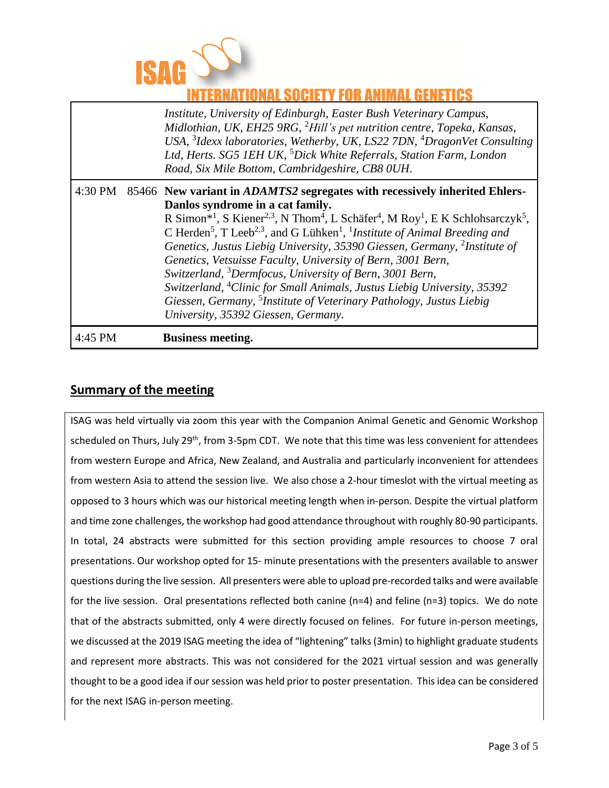

# NATIONAL SOCIETY FOR ANIMAL GENETICS

| 4:45 PM | <b>Business meeting.</b>                                                                                                                                                                                                                                                                                                                                                                                                                                                                                                                                                                                                                                                                                                                                                                                                                                     |
|---------|--------------------------------------------------------------------------------------------------------------------------------------------------------------------------------------------------------------------------------------------------------------------------------------------------------------------------------------------------------------------------------------------------------------------------------------------------------------------------------------------------------------------------------------------------------------------------------------------------------------------------------------------------------------------------------------------------------------------------------------------------------------------------------------------------------------------------------------------------------------|
| 4:30 PM | 85466 New variant in ADAMTS2 segregates with recessively inherited Ehlers-<br>Danlos syndrome in a cat family.<br>R Simon* <sup>1</sup> , S Kiener <sup>2,3</sup> , N Thom <sup>4</sup> , L Schäfer <sup>4</sup> , M Roy <sup>1</sup> , E K Schlohsarczyk <sup>5</sup> ,<br>C Herden <sup>5</sup> , T Leeb <sup>2,3</sup> , and G Lühken <sup>1</sup> , <sup>1</sup> <i>Institute of Animal Breeding and</i><br>Genetics, Justus Liebig University, 35390 Giessen, Germany, <sup>2</sup> Institute of<br>Genetics, Vetsuisse Faculty, University of Bern, 3001 Bern,<br>Switzerland, <sup>3</sup> Dermfocus, University of Bern, 3001 Bern,<br>Switzerland, <sup>4</sup> Clinic for Small Animals, Justus Liebig University, 35392<br>Giessen, Germany, <sup>5</sup> Institute of Veterinary Pathology, Justus Liebig<br>University, 35392 Giessen, Germany. |
|         | Institute, University of Edinburgh, Easter Bush Veterinary Campus,<br>Midlothian, UK, EH25 9RG, <sup>2</sup> Hill's pet nutrition centre, Topeka, Kansas,<br>USA, ${}^{3}$ Idexx laboratories, Wetherby, UK, LS22 7DN, ${}^{4}$ DragonVet Consulting<br>Ltd, Herts. SG5 1EH UK, <sup>5</sup> Dick White Referrals, Station Farm, London<br>Road, Six Mile Bottom, Cambridgeshire, CB8 0UH.                                                                                                                                                                                                                                                                                                                                                                                                                                                                   |

### **Summary of the meeting**

ISAG was held virtually via zoom this year with the Companion Animal Genetic and Genomic Workshop scheduled on Thurs, July 29<sup>th</sup>, from 3-5pm CDT. We note that this time was less convenient for attendees from western Europe and Africa, New Zealand, and Australia and particularly inconvenient for attendees from western Asia to attend the session live. We also chose a 2-hour timeslot with the virtual meeting as opposed to 3 hours which was our historical meeting length when in-person. Despite the virtual platform and time zone challenges, the workshop had good attendance throughout with roughly 80-90 participants. In total, 24 abstracts were submitted for this section providing ample resources to choose 7 oral presentations. Our workshop opted for 15- minute presentations with the presenters available to answer questions during the live session. All presenters were able to upload pre-recorded talks and were available for the live session. Oral presentations reflected both canine (n=4) and feline (n=3) topics. We do note that of the abstracts submitted, only 4 were directly focused on felines. For future in-person meetings, we discussed at the 2019 ISAG meeting the idea of "lightening" talks (3min) to highlight graduate students and represent more abstracts. This was not considered for the 2021 virtual session and was generally thought to be a good idea if our session was held prior to poster presentation. This idea can be considered for the next ISAG in-person meeting.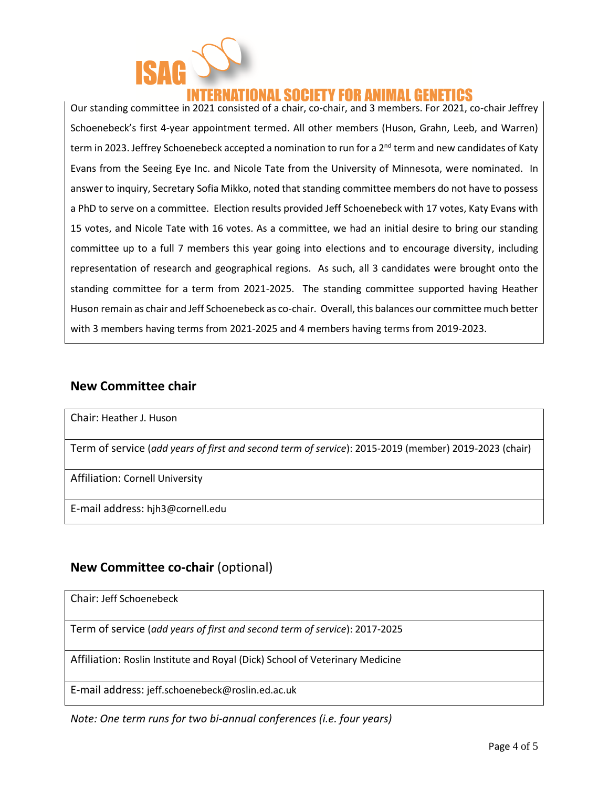

# ATIONAL SOCIETY FOR ANIMAL GENETICS

Our standing committee in 2021 consisted of a chair, co-chair, and 3 members. For 2021, co-chair Jeffrey Schoenebeck's first 4-year appointment termed. All other members (Huson, Grahn, Leeb, and Warren) term in 2023. Jeffrey Schoenebeck accepted a nomination to run for a 2<sup>nd</sup> term and new candidates of Katy Evans from the Seeing Eye Inc. and Nicole Tate from the University of Minnesota, were nominated. In answer to inquiry, Secretary Sofia Mikko, noted that standing committee members do not have to possess a PhD to serve on a committee. Election results provided Jeff Schoenebeck with 17 votes, Katy Evans with 15 votes, and Nicole Tate with 16 votes. As a committee, we had an initial desire to bring our standing committee up to a full 7 members this year going into elections and to encourage diversity, including representation of research and geographical regions. As such, all 3 candidates were brought onto the standing committee for a term from 2021-2025. The standing committee supported having Heather Huson remain as chair and Jeff Schoenebeck as co-chair. Overall, this balances our committee much better with 3 members having terms from 2021-2025 and 4 members having terms from 2019-2023.

#### **New Committee chair**

Chair: Heather J. Huson

Term of service (*add years of first and second term of service*): 2015-2019 (member) 2019-2023 (chair)

Affiliation: Cornell University

E-mail address: hjh3@cornell.edu

### **New Committee co-chair** (optional)

Chair: Jeff Schoenebeck

Term of service (*add years of first and second term of service*): 2017-2025

Affiliation: Roslin Institute and Royal (Dick) School of Veterinary Medicine

E-mail address: jeff.schoenebeck@roslin.ed.ac.uk

*Note: One term runs for two bi-annual conferences (i.e. four years)*